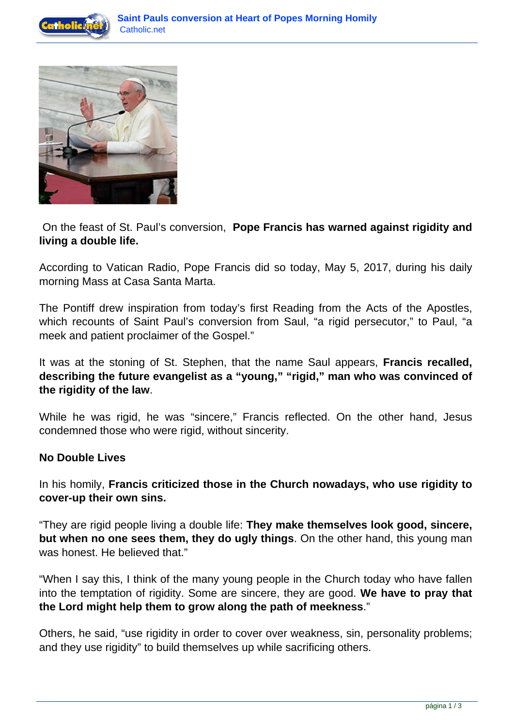



 On the feast of St. Paul's conversion, **Pope Francis has warned against rigidity and living a double life.**

According to Vatican Radio, Pope Francis did so today, May 5, 2017, during his daily morning Mass at Casa Santa Marta.

The Pontiff drew inspiration from today's first Reading from the Acts of the Apostles, which recounts of Saint Paul's conversion from Saul, "a rigid persecutor," to Paul, "a meek and patient proclaimer of the Gospel."

It was at the stoning of St. Stephen, that the name Saul appears, **Francis recalled, describing the future evangelist as a "young," "rigid," man who was convinced of the rigidity of the law**.

While he was rigid, he was "sincere," Francis reflected. On the other hand, Jesus condemned those who were rigid, without sincerity.

## **No Double Lives**

In his homily, **Francis criticized those in the Church nowadays, who use rigidity to cover-up their own sins.**

"They are rigid people living a double life: **They make themselves look good, sincere, but when no one sees them, they do ugly things**. On the other hand, this young man was honest. He believed that."

"When I say this, I think of the many young people in the Church today who have fallen into the temptation of rigidity. Some are sincere, they are good. **We have to pray that the Lord might help them to grow along the path of meekness**."

Others, he said, "use rigidity in order to cover over weakness, sin, personality problems; and they use rigidity" to build themselves up while sacrificing others.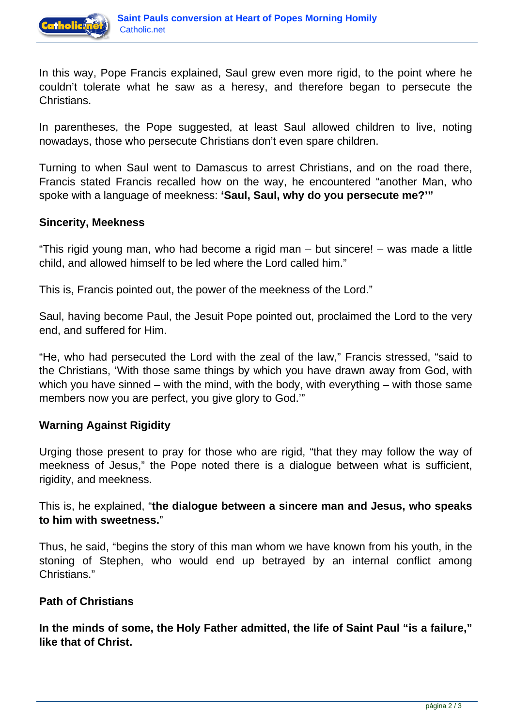

In this way, Pope Francis explained, Saul grew even more rigid, to the point where he couldn't tolerate what he saw as a heresy, and therefore began to persecute the Christians.

In parentheses, the Pope suggested, at least Saul allowed children to live, noting nowadays, those who persecute Christians don't even spare children.

Turning to when Saul went to Damascus to arrest Christians, and on the road there, Francis stated Francis recalled how on the way, he encountered "another Man, who spoke with a language of meekness: **'Saul, Saul, why do you persecute me?'"**

## **Sincerity, Meekness**

"This rigid young man, who had become a rigid man – but sincere! – was made a little child, and allowed himself to be led where the Lord called him."

This is, Francis pointed out, the power of the meekness of the Lord."

Saul, having become Paul, the Jesuit Pope pointed out, proclaimed the Lord to the very end, and suffered for Him.

"He, who had persecuted the Lord with the zeal of the law," Francis stressed, "said to the Christians, 'With those same things by which you have drawn away from God, with which you have sinned – with the mind, with the body, with everything – with those same members now you are perfect, you give glory to God.'"

## **Warning Against Rigidity**

Urging those present to pray for those who are rigid, "that they may follow the way of meekness of Jesus," the Pope noted there is a dialogue between what is sufficient, rigidity, and meekness.

This is, he explained, "**the dialogue between a sincere man and Jesus, who speaks to him with sweetness.**"

Thus, he said, "begins the story of this man whom we have known from his youth, in the stoning of Stephen, who would end up betrayed by an internal conflict among Christians."

## **Path of Christians**

**In the minds of some, the Holy Father admitted, the life of Saint Paul "is a failure," like that of Christ.**